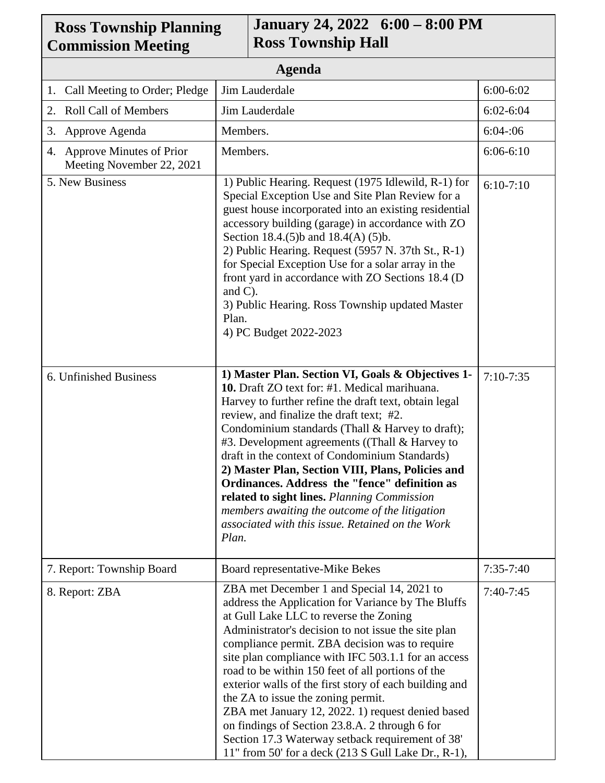| <b>Ross Township Planning</b><br><b>Commission Meeting</b> | January 24, 2022 6:00 - 8:00 PM<br><b>Ross Township Hall</b>                                                                                                                                                                                                                                                                                                                                                                                                                                                                                                                                                                                                                      |               |  |
|------------------------------------------------------------|-----------------------------------------------------------------------------------------------------------------------------------------------------------------------------------------------------------------------------------------------------------------------------------------------------------------------------------------------------------------------------------------------------------------------------------------------------------------------------------------------------------------------------------------------------------------------------------------------------------------------------------------------------------------------------------|---------------|--|
| <b>Agenda</b>                                              |                                                                                                                                                                                                                                                                                                                                                                                                                                                                                                                                                                                                                                                                                   |               |  |
| Call Meeting to Order; Pledge<br>1.                        | Jim Lauderdale                                                                                                                                                                                                                                                                                                                                                                                                                                                                                                                                                                                                                                                                    | $6:00 - 6:02$ |  |
| <b>Roll Call of Members</b><br>2.                          | Jim Lauderdale                                                                                                                                                                                                                                                                                                                                                                                                                                                                                                                                                                                                                                                                    | $6:02 - 6:04$ |  |
| Approve Agenda<br>3.                                       | Members.                                                                                                                                                                                                                                                                                                                                                                                                                                                                                                                                                                                                                                                                          | 6:04:06       |  |
| 4. Approve Minutes of Prior<br>Meeting November 22, 2021   | Members.                                                                                                                                                                                                                                                                                                                                                                                                                                                                                                                                                                                                                                                                          | $6:06-6:10$   |  |
| 5. New Business                                            | 1) Public Hearing. Request (1975 Idlewild, R-1) for<br>Special Exception Use and Site Plan Review for a<br>guest house incorporated into an existing residential<br>accessory building (garage) in accordance with ZO<br>Section 18.4.(5)b and 18.4(A) (5)b.<br>2) Public Hearing. Request (5957 N. 37th St., R-1)<br>for Special Exception Use for a solar array in the<br>front yard in accordance with ZO Sections 18.4 (D)<br>and $C$ ).<br>3) Public Hearing. Ross Township updated Master<br>Plan.<br>4) PC Budget 2022-2023                                                                                                                                                | $6:10-7:10$   |  |
| 6. Unfinished Business                                     | 1) Master Plan. Section VI, Goals & Objectives 1-<br>10. Draft ZO text for: #1. Medical marihuana.<br>Harvey to further refine the draft text, obtain legal<br>review, and finalize the draft text; #2.<br>Condominium standards (Thall & Harvey to draft);<br>#3. Development agreements ((Thall & Harvey to<br>draft in the context of Condominium Standards)<br>2) Master Plan, Section VIII, Plans, Policies and<br>Ordinances. Address the "fence" definition as<br>related to sight lines. Planning Commission<br>members awaiting the outcome of the litigation<br>associated with this issue. Retained on the Work<br>Plan.                                               | $7:10-7:35$   |  |
| 7. Report: Township Board                                  | Board representative-Mike Bekes                                                                                                                                                                                                                                                                                                                                                                                                                                                                                                                                                                                                                                                   | $7:35-7:40$   |  |
| 8. Report: ZBA                                             | ZBA met December 1 and Special 14, 2021 to<br>address the Application for Variance by The Bluffs<br>at Gull Lake LLC to reverse the Zoning<br>Administrator's decision to not issue the site plan<br>compliance permit. ZBA decision was to require<br>site plan compliance with IFC 503.1.1 for an access<br>road to be within 150 feet of all portions of the<br>exterior walls of the first story of each building and<br>the ZA to issue the zoning permit.<br>ZBA met January 12, 2022. 1) request denied based<br>on findings of Section 23.8.A. 2 through 6 for<br>Section 17.3 Waterway setback requirement of 38'<br>11" from 50' for a deck (213 S Gull Lake Dr., R-1), | $7:40-7:45$   |  |

 $\mathbf{r}$